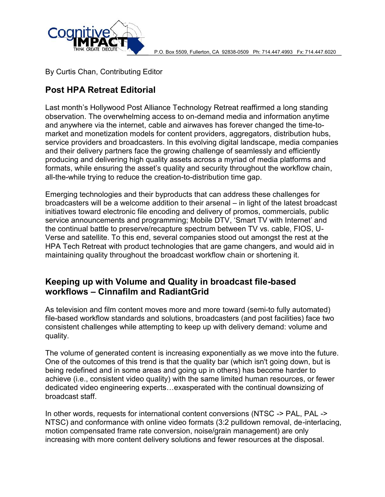

By Curtis Chan, Contributing Editor

# **Post HPA Retreat Editorial**

Last month's Hollywood Post Alliance Technology Retreat reaffirmed a long standing observation. The overwhelming access to on-demand media and information anytime and anywhere via the internet, cable and airwaves has forever changed the time-tomarket and monetization models for content providers, aggregators, distribution hubs, service providers and broadcasters. In this evolving digital landscape, media companies and their delivery partners face the growing challenge of seamlessly and efficiently producing and delivering high quality assets across a myriad of media platforms and formats, while ensuring the asset's quality and security throughout the workflow chain, all-the-while trying to reduce the creation-to-distribution time gap.

Emerging technologies and their byproducts that can address these challenges for broadcasters will be a welcome addition to their arsenal – in light of the latest broadcast initiatives toward electronic file encoding and delivery of promos, commercials, public service announcements and programming; Mobile DTV, 'Smart TV with Internet' and the continual battle to preserve/recapture spectrum between TV vs. cable, FIOS, U-Verse and satellite. To this end, several companies stood out amongst the rest at the HPA Tech Retreat with product technologies that are game changers, and would aid in maintaining quality throughout the broadcast workflow chain or shortening it.

### **Keeping up with Volume and Quality in broadcast file-based workflows – Cinnafilm and RadiantGrid**

As television and film content moves more and more toward (semi-to fully automated) file-based workflow standards and solutions, broadcasters (and post facilities) face two consistent challenges while attempting to keep up with delivery demand: volume and quality.

The volume of generated content is increasing exponentially as we move into the future. One of the outcomes of this trend is that the quality bar (which isn't going down, but is being redefined and in some areas and going up in others) has become harder to achieve (i.e., consistent video quality) with the same limited human resources, or fewer dedicated video engineering experts…exasperated with the continual downsizing of broadcast staff.

In other words, requests for international content conversions (NTSC -> PAL, PAL -> NTSC) and conformance with online video formats (3:2 pulldown removal, de-interlacing, motion compensated frame rate conversion, noise/grain management) are only increasing with more content delivery solutions and fewer resources at the disposal.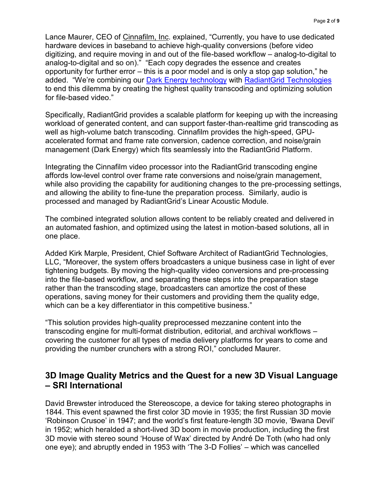Lance Maurer, CC infolaof if Im, elxipodead rCurrently, whave steadedicated hardware devices intobancehiband to had hty conversion  $\mathbf s$  video digitizing, and require moving i-baasneod oww.trkofalmotavleetofoiliegital toanalog odigital and).  $s \oplus a$  and copy addeegs the essence and creates opportunity for furthesries reappoor a modoidse lonly a stop gap solution, added We  $ce$  m bining  $De$  uk Eneteochnolov qto Radiant Greiochnologies to end this dilemma by creating the highest quality transcoding for f-blæsed video.

Specific<sup>a</sup> aldy, ant Grid provides a scalable platform for keeping u workload of generated content, an-the and astuin propeon get if dat stream scoding well aisg hhao lume batch tranCsionodifinigm provide-spteheed higa PPU acceleradend aft and frame rate conversion, cadence correction, a  $m$  anagem ( $\epsilon$ Dhatrk Enewrigtiyc) hfits seamlessly into the RadiantGrid Pl

Integrathreg Cinnafilm video proc**reassicarninGerraich**tshoeoding engine afforbloswlevel contreorl frame rate conversions and noise/grain ma while also providing the capability for audiptioneinsgs ionlgase entingos, t and allowing the ald will the fine parations immover  $\boldsymbol{s}$ , audio is processed and manPaagdeidantGrid s Linear Acoustic Module.

Thecombiniend egraste butian almows partent to be reliably created and deliver an automated fashion, and optimized usbinagetons obtainting and tion one place.

Added Kirk MParmepslied, ent, Chief Software Architect of RadiantGrid  $LLC$  Moreover, the  $os$ f  $s$  tembroad casters a unique business case in tightening buBdygentos. The high builded convers-parons exameding reinto the bais ewdorkflow, and separating these steps into the prepa rather than the transcoordo iangle as a gesam ortize the cost of these operations, saving theoment of oners and providing them the quality which can be a key odifferentiate titive business.

This solution pro-quidælsthing heprocessed mezzanine content into transcoding engin-format multi ribution, editorial, and archival wo covering the customer for all type**atforme**dficardyeel avenutyd pdome providing the number crunchers), wo that laudsed of ManuRr@ r.

3D Image Quality Metrics and the Quest for a new 3D SRI International

David Brewster introduced the Stereoscopeer, ea pleotographts aking 1844. This event spawned the first color 3D movie in 1935; the Robinson Crusoe in 1947; and the ewang thd 3sD firm st ifee, at Boweana Dev in 1952; which heralded da 3sDhobotom in moot violen, proodlunding the first 3D movie with stereo sound House of éMD aex Tootlihre (owt bed by a dA only had one eye); and abruptly ended inD 1F9c5JBiemssihthchTwhaes3cancelled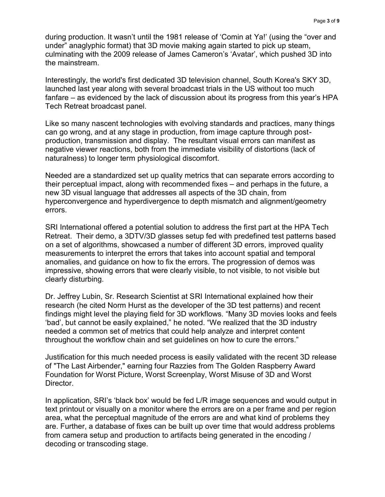during production. It wasn't until the 1981 release of 'Comin at Ya!' (using the "over and under" anaglyphic format) that 3D movie making again started to pick up steam, culminating with the 2009 release of James Cameron's 'Avatar', which pushed 3D into the mainstream.

Interestingly, the world's first dedicated 3D television channel, South Korea's SKY 3D, launched last year along with several broadcast trials in the US without too much fanfare – as evidenced by the lack of discussion about its progress from this year's HPA Tech Retreat broadcast panel.

Like so many nascent technologies with evolving standards and practices, many things can go wrong, and at any stage in production, from image capture through postproduction, transmission and display. The resultant visual errors can manifest as negative viewer reactions, both from the immediate visibility of distortions (lack of naturalness) to longer term physiological discomfort.

Needed are a standardized set up quality metrics that can separate errors according to their perceptual impact, along with recommended fixes – and perhaps in the future, a new 3D visual language that addresses all aspects of the 3D chain, from hyperconvergence and hyperdivergence to depth mismatch and alignment/geometry errors.

SRI International offered a potential solution to address the first part at the HPA Tech Retreat. Their demo, a 3DTV/3D glasses setup fed with predefined test patterns based on a set of algorithms, showcased a number of different 3D errors, improved quality measurements to interpret the errors that takes into account spatial and temporal anomalies, and guidance on how to fix the errors. The progression of demos was impressive, showing errors that were clearly visible, to not visible, to not visible but clearly disturbing.

Dr. Jeffrey Lubin, Sr. Research Scientist at SRI International explained how their research (he cited Norm Hurst as the developer of the 3D test patterns) and recent findings might level the playing field for 3D workflows. "Many 3D movies looks and feels 'bad', but cannot be easily explained," he noted. "We realized that the 3D industry needed a common set of metrics that could help analyze and interpret content throughout the workflow chain and set guidelines on how to cure the errors."

Justification for this much needed process is easily validated with the recent 3D release of "The Last Airbender," earning four Razzies from The Golden Raspberry Award Foundation for Worst Picture, Worst Screenplay, Worst Misuse of 3D and Worst Director.

In application, SRI's 'black box' would be fed L/R image sequences and would output in text printout or visually on a monitor where the errors are on a per frame and per region area, what the perceptual magnitude of the errors are and what kind of problems they are. Further, a database of fixes can be built up over time that would address problems from camera setup and production to artifacts being generated in the encoding / decoding or transcoding stage.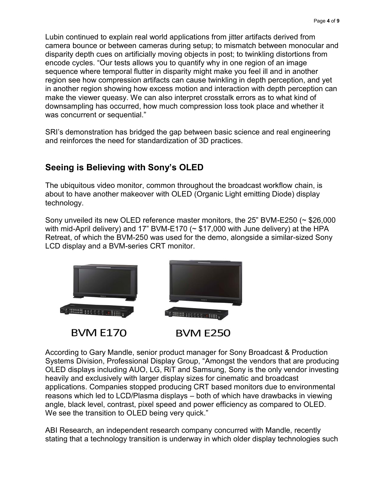Lubin continued to explain real world applications from jitter artifacts derived from camera bounce or between cameras during setup; to mismatch between monocular and disparity depth cues on artificially moving objects in post; to twinkling distortions from encode cycles. "Our tests allows you to quantify why in one region of an image sequence where temporal flutter in disparity might make you feel ill and in another region see how compression artifacts can cause twinkling in depth perception, and yet in another region showing how excess motion and interaction with depth perception can make the viewer queasy. We can also interpret crosstalk errors as to what kind of downsampling has occurred, how much compression loss took place and whether it was concurrent or sequential." Lubin continued to explain real world applications from jitter artifacts derived camera bounce or between cameras during setup; to mismatch between disparity depth cues on artificially moving objects in post; to twinkling

SRI's demonstration has bridged the gap between basic science and real engineering and reinforces the need for standardization of 3D practices.

# **Seeing is Believing with Sony's OLED Believing**

The ubiquitous video monitor, common throughout the broadcast workflow chain, is about to have another makeover with OLED (Organic Light emitting Diode) display technology.

Sony unveiled its new OLED reference master monitors, the 25" BVM-E250 (~ \$26,000 with mid-April delivery) and 17" BVM-E170 ( $\sim$  \$17,000 with June delivery) at the HPA Retreat, of which the BVM-250 was used for the demo, alongside a similar-sized Sony LCD display and a BVM-series CRT monitor.



According to Gary Mandle, senior product manager for Sony Broadcast & Production Systems Division, Professional Display Group, "Amongst the vendors that are producing OLED displays including AUO, LG, RiT and Samsung, Sony is the only vendor investing heavily and exclusively with larger display sizes for cinematic and broadcast applications. Companies stopped producing CRT based monitors due to environmental reasons which led to LCD/Plasma displays – both of which have drawbacks in viewing angle, black level, contrast, pixel speed and power efficiency as compared to OLED. We see the transition to OLED being very quick." SRIs demonstration has bridged the gap between basic science and real engineering<br>
Seeing is Belleving with Sony's OLED<br>
The ubiquitous video monitor, common throughout the broadcast workflow chain, is<br>
Seeing is Belleving

ABI Research, an independent research company concurred with Mandle, recently stating that a technology transition is underway in which older display technologies such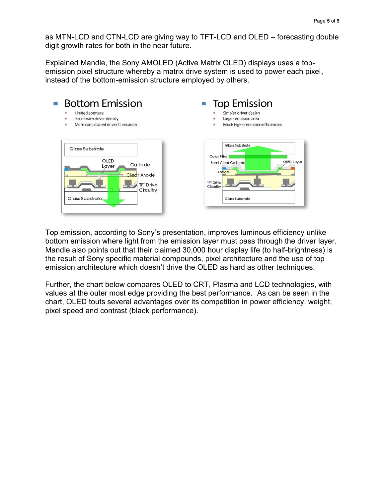as MTN-LCD and CTN-LCD are giving way to TFT-LCD and OLED – forecasting double digit growth rates for both in the near future.

digit growth rates for both in the near future.<br>Explained Mandle, the Sony AMOLED (Active Matrix OLED) displays uses a topemission pixel structure whereby a matrix drive system is used to power each pixel, instead of the bottom-emission structure employed by others.



Top emission, according to Sony's presentation, improves luminous efficiency unlike bottom emission where light from the emission layer must pass through the driver layer. Mandle also points out that their claimed 30,000 hour display life (to half-brightness) is the result of Sony specific material compounds, pixel architecture and the use of top emission architecture which doesn't drive the OLED as hard as other techniques.

Further, the chart below compares OLED to CRT, Plasma and LCD technologies, with the values at the outer most edge providing the best performance. As can be seen in the chart, OLED touts several advantages over its competition in power efficiency, weight, pixel speed and contrast (black performance).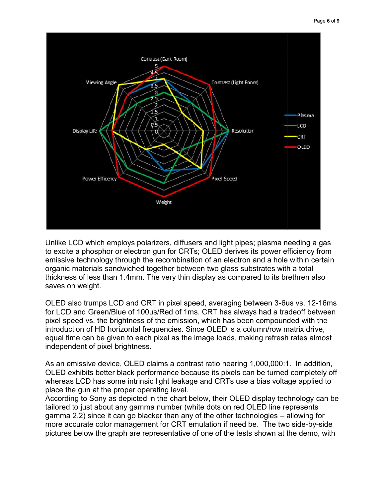

Unlike LCD which employs polarizers, diffusers and light pipes; plasma needing a gas Unlike LCD which employs polarizers, diffusers and light pipes; plasma needing a gas<br>to excite a phosphor or electron gun for CRTs; OLED derives its power efficiency from emissive technology through the recombination of an electron and a hole within certain organic materials sandwiched together between two glass substrates with a total thickness of less than 1.4mm. The very thin display as compared to its brethren also saves on weight.

OLED also trumps LCD and CRT in pixel speed, averaging between 3-6us vs. 12-16ms for LCD and Green/Blue of 100us/Red of 1ms. CRT has always had a tradeoff between pixel speed vs. the brightness of the emission, which has been compounded with the introduction of HD horizontal frequencies. Since OLED is a column/row matrix drive, equal time can be given to each pixel as the image loads, making refresh rates almost independent of pixel brightness. I together between two glass substrates with a total<br>
The very thin display as compared to its brethren also<br>
CRT in pixel speed, averaging between 3-6us vs. 12-16r<br>
DOus/Red of 1ms. CRT has always had a tradeoff betwee<br>
s

As an emissive device, OLED claims a contrast ratio nearing 1,000,000:1. In addition, OLED exhibits better black performance because its pixels can be turned completely off whereas LCD has some intrinsic light leakage and CRTs use a bias voltage applied to place the gun at the proper operating level.

According to Sony as depicted in the chart below, their OLED display technology can be tailored to just about any gamma number (white dots on red OLED line represents gamma 2.2) since it can go blacker than any of the other technologies – allowing for more accurate color management for CRT emulation if need be. The two side-by-side pictures below the graph are representative of one of the tests shown at the demo, with 2.2) since it can go blacker than any of the other technologies – allowing for<br>curate color management for CRT emulation if need be. The two side-by-side<br>below the graph are representative of one of the tests shown at the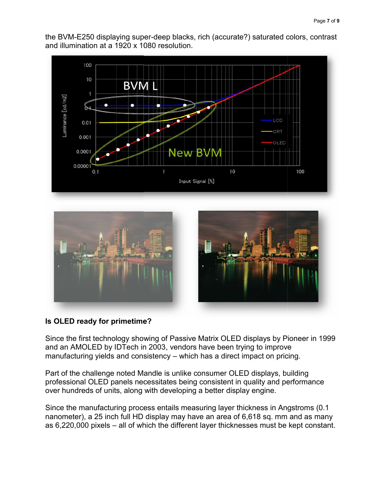the BVM-E250 displaying super-deep blacks, rich (accurate?) saturated colors, contrast<br>and illumination at a 1920 x 1080 resolution. and illumination at a 1920 x 1080 resolution.



#### **Is OLED ready for primetime? OLED**

Since the first technology showing of Passive Matrix OLED displays by Pioneer in 1999 and an AMOLED by IDTech in 2003, vendors have been trying to improve manufacturing yields and consistency – which has a direct impact on pricing.

Part of the challenge noted Mandle is unlike consumer OLED displays, building professional OLED panels necessitates being consistent in quality and performance over hundreds of units, along with developing a better display engine. Since the first technology showing of Passive Matrix OLED displays by Pi<br>and an AMOLED by IDTech in 2003, vendors have been trying to improve<br>manufacturing yields and consistency – which has a direct impact on pric<br>Part of

Since the manufacturing process entails measuring layer thickness in Angstroms (0.1 nanometer), a 25 inch full HD display may have an area of 6,618 sq. mm and as many as 6,220,000 pixels – all of which the different layer thicknesses must be kept constant.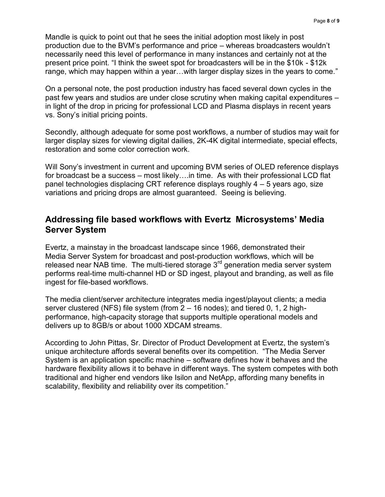Mandle is quick to point out that he sees the initial adoption most likely in post production due to the BVM's performance and price – whereas broadcasters wouldn't necessarily need this level of performance in many instances and certainly not at the present price point. "I think the sweet spot for broadcasters will be in the \$10k - \$12k range, which may happen within a year…with larger display sizes in the years to come."

On a personal note, the post production industry has faced several down cycles in the past few years and studios are under close scrutiny when making capital expenditures – in light of the drop in pricing for professional LCD and Plasma displays in recent years vs. Sony's initial pricing points.

Secondly, although adequate for some post workflows, a number of studios may wait for larger display sizes for viewing digital dailies, 2K-4K digital intermediate, special effects, restoration and some color correction work.

Will Sony's investment in current and upcoming BVM series of OLED reference displays for broadcast be a success – most likely….in time. As with their professional LCD flat panel technologies displacing CRT reference displays roughly 4 – 5 years ago, size variations and pricing drops are almost guaranteed. Seeing is believing.

#### **Addressing file based workflows with Evertz Microsystems' Media Server System**

Evertz, a mainstay in the broadcast landscape since 1966, demonstrated their Media Server System for broadcast and post-production workflows, which will be released near NAB time. The multi-tiered storage  $3<sup>rd</sup>$  generation media server system performs real-time multi-channel HD or SD ingest, playout and branding, as well as file ingest for file-based workflows.

The media client/server architecture integrates media ingest/playout clients; a media server clustered (NFS) file system (from 2 – 16 nodes); and tiered 0, 1, 2 highperformance, high-capacity storage that supports multiple operational models and delivers up to 8GB/s or about 1000 XDCAM streams.

According to John Pittas, Sr. Director of Product Development at Evertz, the system's unique architecture affords several benefits over its competition. "The Media Server System is an application specific machine – software defines how it behaves and the hardware flexibility allows it to behave in different ways. The system competes with both traditional and higher end vendors like Isilon and NetApp, affording many benefits in scalability, flexibility and reliability over its competition."